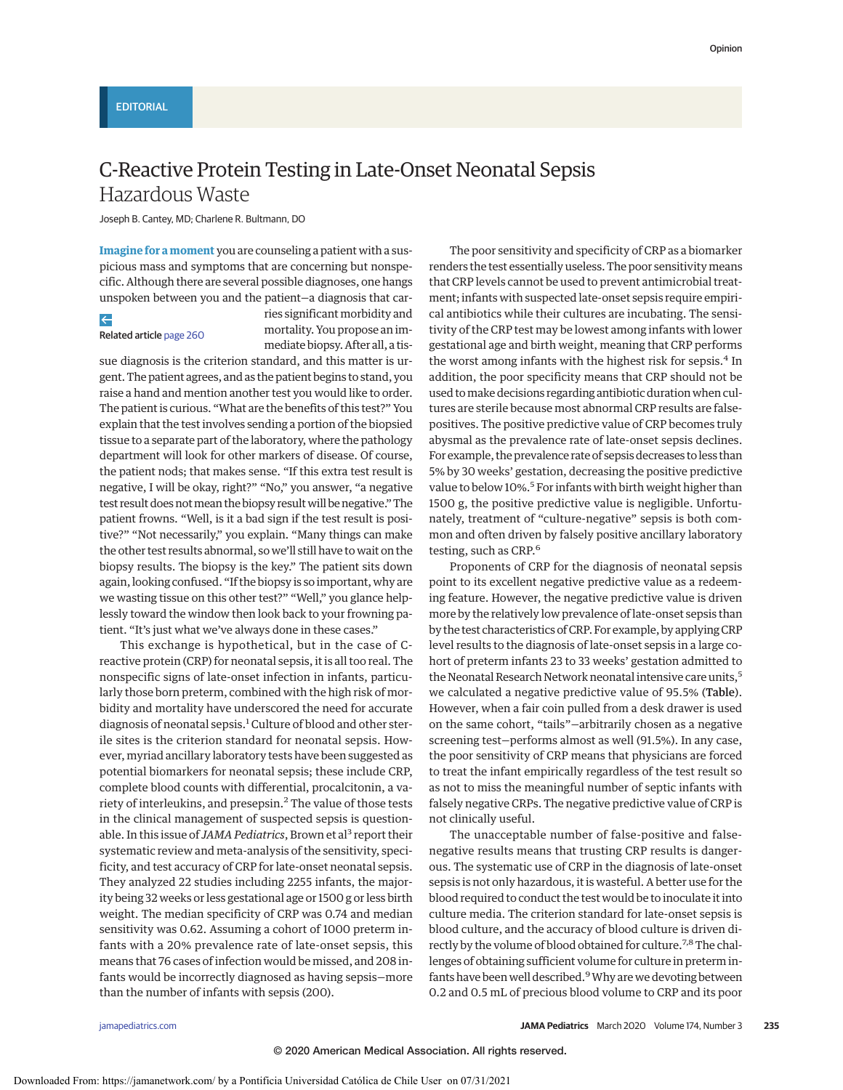# C-Reactive Protein Testing in Late-Onset Neonatal Sepsis Hazardous Waste

Joseph B. Cantey, MD; Charlene R. Bultmann, DO

**Imagine for a moment** you are counseling a patient with a suspicious mass and symptoms that are concerning but nonspecific. Although there are several possible diagnoses, one hangs unspoken between you and the patient—a diagnosis that car-

## $\leftarrow$

#### Related article [page 260](https://jamanetwork.com/journals/jama/fullarticle/10.1001/jamapediatrics.2019.5669?utm_campaign=articlePDF%26utm_medium=articlePDFlink%26utm_source=articlePDF%26utm_content=jamapediatrics.2019.5684)

ries significant morbidity and mortality. You propose an immediate biopsy. After all, a tis-

sue diagnosis is the criterion standard, and this matter is urgent. The patient agrees, and as the patient begins to stand, you raise a hand and mention another test you would like to order. The patient is curious. "What are the benefits of this test?" You explain that the test involves sending a portion of the biopsied tissue to a separate part of the laboratory, where the pathology department will look for other markers of disease. Of course, the patient nods; that makes sense. "If this extra test result is negative, I will be okay, right?" "No," you answer, "a negative test result does not mean the biopsy result will be negative." The patient frowns. "Well, is it a bad sign if the test result is positive?" "Not necessarily," you explain. "Many things can make the other test results abnormal, so we'll still have to wait on the biopsy results. The biopsy is the key." The patient sits down again, looking confused. "If the biopsy is so important, why are we wasting tissue on this other test?" "Well," you glance helplessly toward the window then look back to your frowning patient. "It's just what we've always done in these cases."

This exchange is hypothetical, but in the case of Creactive protein (CRP) for neonatal sepsis, it is all too real. The nonspecific signs of late-onset infection in infants, particularly those born preterm, combined with the high risk of morbidity and mortality have underscored the need for accurate diagnosis of neonatal sepsis.<sup>1</sup> Culture of blood and other sterile sites is the criterion standard for neonatal sepsis. However, myriad ancillary laboratory tests have been suggested as potential biomarkers for neonatal sepsis; these include CRP, complete blood counts with differential, procalcitonin, a variety of interleukins, and presepsin.<sup>2</sup> The value of those tests in the clinical management of suspected sepsis is questionable. In this issue of *JAMA Pediatrics*, Brown et al<sup>3</sup> report their systematic review and meta-analysis of the sensitivity, specificity, and test accuracy of CRP for late-onset neonatal sepsis. They analyzed 22 studies including 2255 infants, the majority being 32 weeks or less gestational age or 1500 g or less birth weight. The median specificity of CRP was 0.74 and median sensitivity was 0.62. Assuming a cohort of 1000 preterm infants with a 20% prevalence rate of late-onset sepsis, this means that 76 cases of infection would be missed, and 208 infants would be incorrectly diagnosed as having sepsis—more than the number of infants with sepsis (200).

The poor sensitivity and specificity of CRP as a biomarker renders the test essentially useless. The poor sensitivitymeans that CRP levels cannot be used to prevent antimicrobial treatment; infants with suspected late-onset sepsis require empirical antibiotics while their cultures are incubating. The sensitivity of the CRP test may be lowest among infants with lower gestational age and birth weight, meaning that CRP performs the worst among infants with the highest risk for sepsis.<sup>4</sup> In addition, the poor specificity means that CRP should not be used tomake decisions regarding antibiotic duration when cultures are sterile because most abnormal CRP results are falsepositives. The positive predictive value of CRP becomes truly abysmal as the prevalence rate of late-onset sepsis declines. For example, the prevalence rate of sepsis decreases to less than 5% by 30 weeks' gestation, decreasing the positive predictive value to below 10%.<sup>5</sup> For infants with birth weight higher than 1500 g, the positive predictive value is negligible. Unfortunately, treatment of "culture-negative" sepsis is both common and often driven by falsely positive ancillary laboratory testing, such as CRP.<sup>6</sup>

Proponents of CRP for the diagnosis of neonatal sepsis point to its excellent negative predictive value as a redeeming feature. However, the negative predictive value is driven more by the relatively low prevalence of late-onset sepsis than by the test characteristics of CRP. For example, by applying CRP level results to the diagnosis of late-onset sepsis in a large cohort of preterm infants 23 to 33 weeks' gestation admitted to the Neonatal Research Network neonatal intensive care units,<sup>5</sup> we calculated a negative predictive value of 95.5% (Table). However, when a fair coin pulled from a desk drawer is used on the same cohort, "tails"—arbitrarily chosen as a negative screening test—performs almost as well (91.5%). In any case, the poor sensitivity of CRP means that physicians are forced to treat the infant empirically regardless of the test result so as not to miss the meaningful number of septic infants with falsely negative CRPs. The negative predictive value of CRP is not clinically useful.

The unacceptable number of false-positive and falsenegative results means that trusting CRP results is dangerous. The systematic use of CRP in the diagnosis of late-onset sepsis is not only hazardous, it is wasteful. A better use for the blood required to conduct the test would be to inoculate it into culture media. The criterion standard for late-onset sepsis is blood culture, and the accuracy of blood culture is driven directly by the volume of blood obtained for culture.<sup>7,8</sup> The challenges of obtaining sufficient volume for culture in preterm infants have been well described.<sup>9</sup> Why are we devoting between 0.2 and 0.5 mL of precious blood volume to CRP and its poor